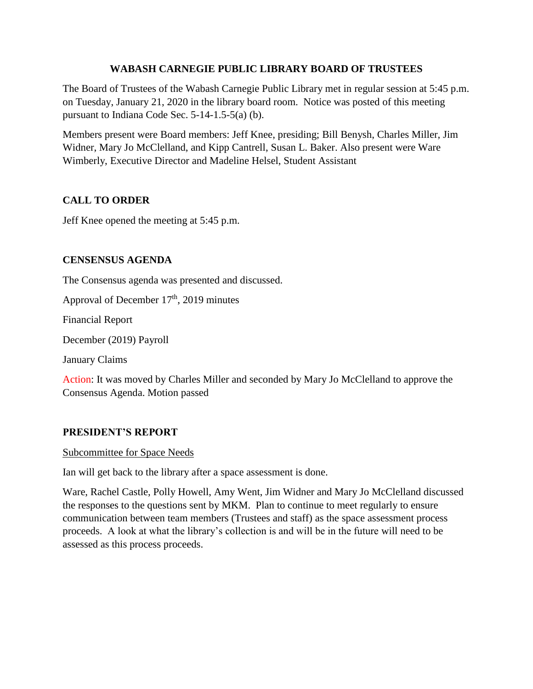## **WABASH CARNEGIE PUBLIC LIBRARY BOARD OF TRUSTEES**

The Board of Trustees of the Wabash Carnegie Public Library met in regular session at 5:45 p.m. on Tuesday, January 21, 2020 in the library board room. Notice was posted of this meeting pursuant to Indiana Code Sec. 5-14-1.5-5(a) (b).

Members present were Board members: Jeff Knee, presiding; Bill Benysh, Charles Miller, Jim Widner, Mary Jo McClelland, and Kipp Cantrell, Susan L. Baker. Also present were Ware Wimberly, Executive Director and Madeline Helsel, Student Assistant

# **CALL TO ORDER**

Jeff Knee opened the meeting at 5:45 p.m.

# **CENSENSUS AGENDA**

The Consensus agenda was presented and discussed.

Approval of December  $17<sup>th</sup>$ , 2019 minutes

Financial Report

December (2019) Payroll

January Claims

Action: It was moved by Charles Miller and seconded by Mary Jo McClelland to approve the Consensus Agenda. Motion passed

## **PRESIDENT'S REPORT**

## Subcommittee for Space Needs

Ian will get back to the library after a space assessment is done.

Ware, Rachel Castle, Polly Howell, Amy Went, Jim Widner and Mary Jo McClelland discussed the responses to the questions sent by MKM. Plan to continue to meet regularly to ensure communication between team members (Trustees and staff) as the space assessment process proceeds. A look at what the library's collection is and will be in the future will need to be assessed as this process proceeds.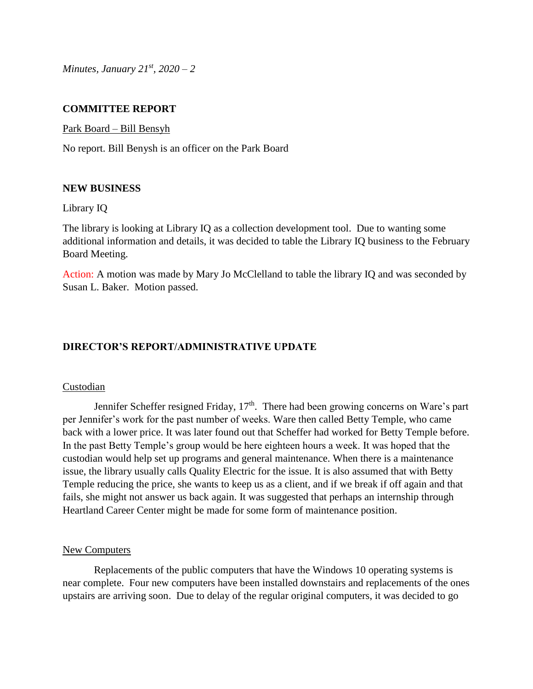*Minutes, January 21st, 2020 – 2*

## **COMMITTEE REPORT**

Park Board – Bill Bensyh

No report. Bill Benysh is an officer on the Park Board

## **NEW BUSINESS**

#### Library IQ

The library is looking at Library IQ as a collection development tool. Due to wanting some additional information and details, it was decided to table the Library IQ business to the February Board Meeting.

Action: A motion was made by Mary Jo McClelland to table the library IQ and was seconded by Susan L. Baker. Motion passed.

# **DIRECTOR'S REPORT/ADMINISTRATIVE UPDATE**

#### **Custodian**

Jennifer Scheffer resigned Friday,  $17<sup>th</sup>$ . There had been growing concerns on Ware's part per Jennifer's work for the past number of weeks. Ware then called Betty Temple, who came back with a lower price. It was later found out that Scheffer had worked for Betty Temple before. In the past Betty Temple's group would be here eighteen hours a week. It was hoped that the custodian would help set up programs and general maintenance. When there is a maintenance issue, the library usually calls Quality Electric for the issue. It is also assumed that with Betty Temple reducing the price, she wants to keep us as a client, and if we break if off again and that fails, she might not answer us back again. It was suggested that perhaps an internship through Heartland Career Center might be made for some form of maintenance position.

#### New Computers

Replacements of the public computers that have the Windows 10 operating systems is near complete. Four new computers have been installed downstairs and replacements of the ones upstairs are arriving soon. Due to delay of the regular original computers, it was decided to go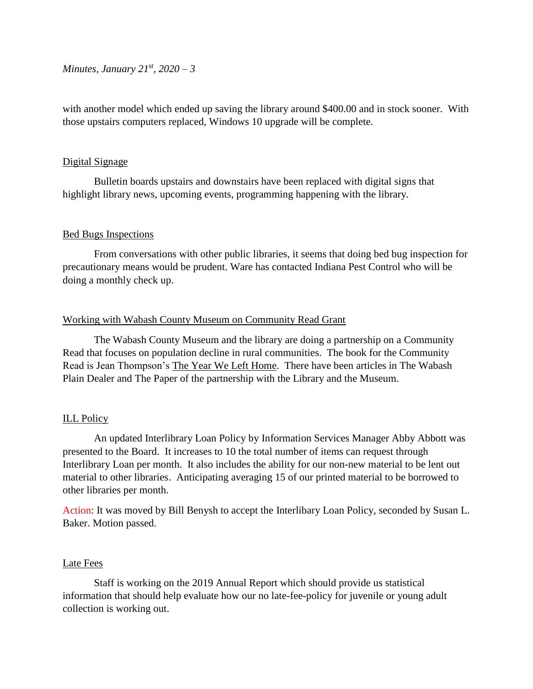*Minutes, January 21st, 2020 – 3*

with another model which ended up saving the library around \$400.00 and in stock sooner. With those upstairs computers replaced, Windows 10 upgrade will be complete.

## Digital Signage

Bulletin boards upstairs and downstairs have been replaced with digital signs that highlight library news, upcoming events, programming happening with the library.

## Bed Bugs Inspections

From conversations with other public libraries, it seems that doing bed bug inspection for precautionary means would be prudent. Ware has contacted Indiana Pest Control who will be doing a monthly check up.

## Working with Wabash County Museum on Community Read Grant

The Wabash County Museum and the library are doing a partnership on a Community Read that focuses on population decline in rural communities. The book for the Community Read is Jean Thompson's The Year We Left Home. There have been articles in The Wabash Plain Dealer and The Paper of the partnership with the Library and the Museum.

# ILL Policy

An updated Interlibrary Loan Policy by Information Services Manager Abby Abbott was presented to the Board. It increases to 10 the total number of items can request through Interlibrary Loan per month. It also includes the ability for our non-new material to be lent out material to other libraries. Anticipating averaging 15 of our printed material to be borrowed to other libraries per month.

Action: It was moved by Bill Benysh to accept the Interlibary Loan Policy, seconded by Susan L. Baker. Motion passed.

## Late Fees

Staff is working on the 2019 Annual Report which should provide us statistical information that should help evaluate how our no late-fee-policy for juvenile or young adult collection is working out.